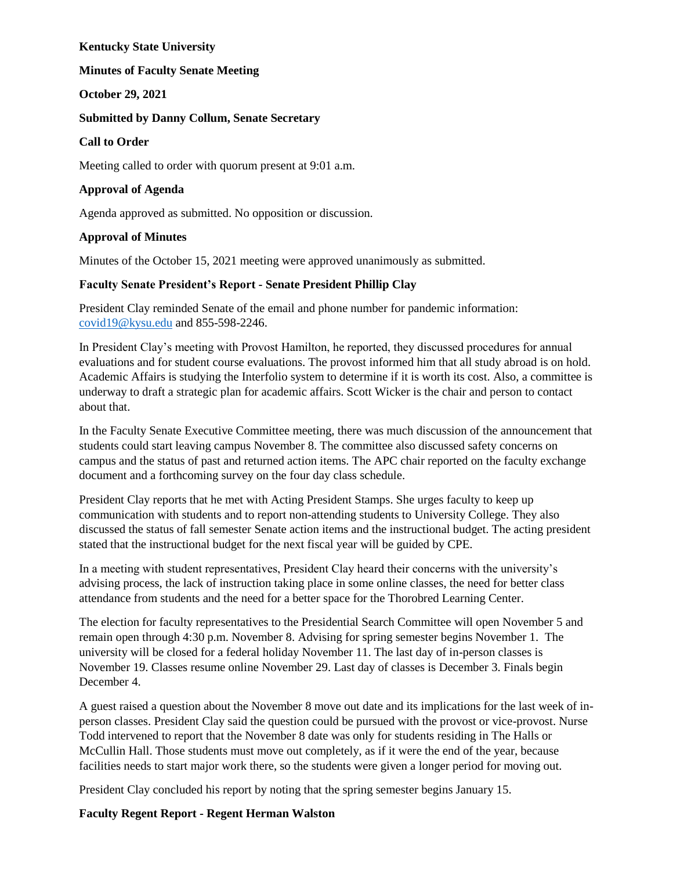#### **Kentucky State University**

### **Minutes of Faculty Senate Meeting**

**October 29, 2021**

### **Submitted by Danny Collum, Senate Secretary**

#### **Call to Order**

Meeting called to order with quorum present at 9:01 a.m.

### **Approval of Agenda**

Agenda approved as submitted. No opposition or discussion.

#### **Approval of Minutes**

Minutes of the October 15, 2021 meeting were approved unanimously as submitted.

#### **Faculty Senate President's Report - Senate President Phillip Clay**

President Clay reminded Senate of the email and phone number for pandemic information: [covid19@kysu.edu](mailto:covid19@kysu.edu) and 855-598-2246.

In President Clay's meeting with Provost Hamilton, he reported, they discussed procedures for annual evaluations and for student course evaluations. The provost informed him that all study abroad is on hold. Academic Affairs is studying the Interfolio system to determine if it is worth its cost. Also, a committee is underway to draft a strategic plan for academic affairs. Scott Wicker is the chair and person to contact about that.

In the Faculty Senate Executive Committee meeting, there was much discussion of the announcement that students could start leaving campus November 8. The committee also discussed safety concerns on campus and the status of past and returned action items. The APC chair reported on the faculty exchange document and a forthcoming survey on the four day class schedule.

President Clay reports that he met with Acting President Stamps. She urges faculty to keep up communication with students and to report non-attending students to University College. They also discussed the status of fall semester Senate action items and the instructional budget. The acting president stated that the instructional budget for the next fiscal year will be guided by CPE.

In a meeting with student representatives, President Clay heard their concerns with the university's advising process, the lack of instruction taking place in some online classes, the need for better class attendance from students and the need for a better space for the Thorobred Learning Center.

The election for faculty representatives to the Presidential Search Committee will open November 5 and remain open through 4:30 p.m. November 8. Advising for spring semester begins November 1. The university will be closed for a federal holiday November 11. The last day of in-person classes is November 19. Classes resume online November 29. Last day of classes is December 3. Finals begin December 4.

A guest raised a question about the November 8 move out date and its implications for the last week of inperson classes. President Clay said the question could be pursued with the provost or vice-provost. Nurse Todd intervened to report that the November 8 date was only for students residing in The Halls or McCullin Hall. Those students must move out completely, as if it were the end of the year, because facilities needs to start major work there, so the students were given a longer period for moving out.

President Clay concluded his report by noting that the spring semester begins January 15.

### **Faculty Regent Report - Regent Herman Walston**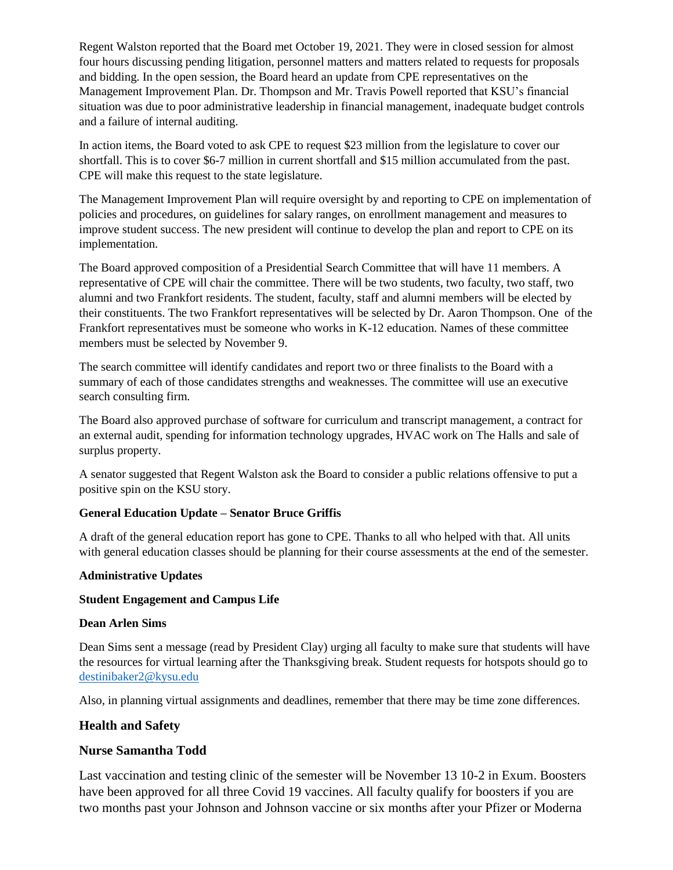Regent Walston reported that the Board met October 19, 2021. They were in closed session for almost four hours discussing pending litigation, personnel matters and matters related to requests for proposals and bidding. In the open session, the Board heard an update from CPE representatives on the Management Improvement Plan. Dr. Thompson and Mr. Travis Powell reported that KSU's financial situation was due to poor administrative leadership in financial management, inadequate budget controls and a failure of internal auditing.

In action items, the Board voted to ask CPE to request \$23 million from the legislature to cover our shortfall. This is to cover \$6-7 million in current shortfall and \$15 million accumulated from the past. CPE will make this request to the state legislature.

The Management Improvement Plan will require oversight by and reporting to CPE on implementation of policies and procedures, on guidelines for salary ranges, on enrollment management and measures to improve student success. The new president will continue to develop the plan and report to CPE on its implementation.

The Board approved composition of a Presidential Search Committee that will have 11 members. A representative of CPE will chair the committee. There will be two students, two faculty, two staff, two alumni and two Frankfort residents. The student, faculty, staff and alumni members will be elected by their constituents. The two Frankfort representatives will be selected by Dr. Aaron Thompson. One of the Frankfort representatives must be someone who works in K-12 education. Names of these committee members must be selected by November 9.

The search committee will identify candidates and report two or three finalists to the Board with a summary of each of those candidates strengths and weaknesses. The committee will use an executive search consulting firm.

The Board also approved purchase of software for curriculum and transcript management, a contract for an external audit, spending for information technology upgrades, HVAC work on The Halls and sale of surplus property.

A senator suggested that Regent Walston ask the Board to consider a public relations offensive to put a positive spin on the KSU story.

### **General Education Update – Senator Bruce Griffis**

A draft of the general education report has gone to CPE. Thanks to all who helped with that. All units with general education classes should be planning for their course assessments at the end of the semester.

### **Administrative Updates**

### **Student Engagement and Campus Life**

### **Dean Arlen Sims**

Dean Sims sent a message (read by President Clay) urging all faculty to make sure that students will have the resources for virtual learning after the Thanksgiving break. Student requests for hotspots should go to [destinibaker2@kysu.edu](mailto:destinibaker2@kysu.edu)

Also, in planning virtual assignments and deadlines, remember that there may be time zone differences.

### **Health and Safety**

## **Nurse Samantha Todd**

Last vaccination and testing clinic of the semester will be November 13 10-2 in Exum. Boosters have been approved for all three Covid 19 vaccines. All faculty qualify for boosters if you are two months past your Johnson and Johnson vaccine or six months after your Pfizer or Moderna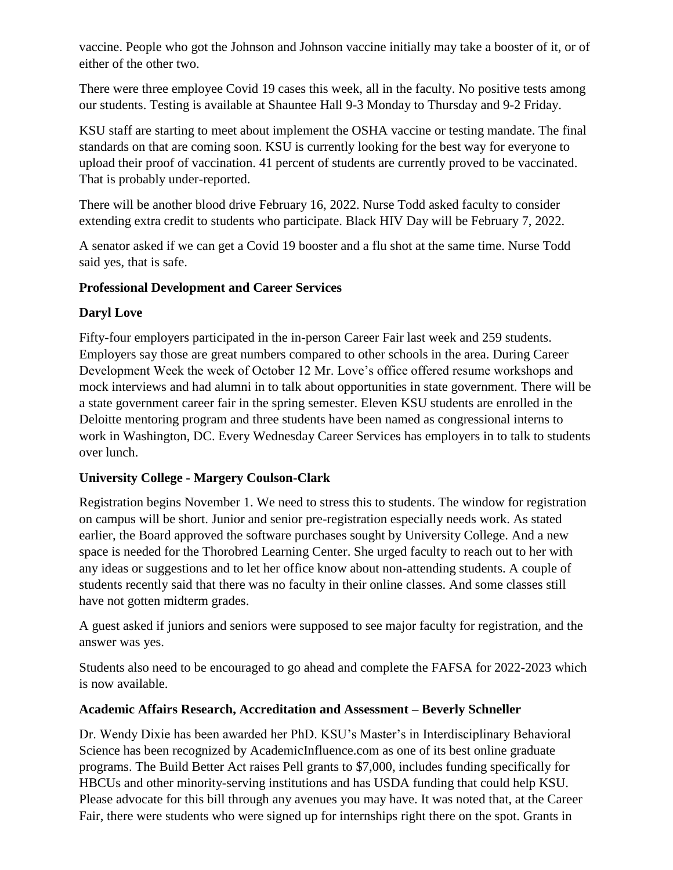vaccine. People who got the Johnson and Johnson vaccine initially may take a booster of it, or of either of the other two.

There were three employee Covid 19 cases this week, all in the faculty. No positive tests among our students. Testing is available at Shauntee Hall 9-3 Monday to Thursday and 9-2 Friday.

KSU staff are starting to meet about implement the OSHA vaccine or testing mandate. The final standards on that are coming soon. KSU is currently looking for the best way for everyone to upload their proof of vaccination. 41 percent of students are currently proved to be vaccinated. That is probably under-reported.

There will be another blood drive February 16, 2022. Nurse Todd asked faculty to consider extending extra credit to students who participate. Black HIV Day will be February 7, 2022.

A senator asked if we can get a Covid 19 booster and a flu shot at the same time. Nurse Todd said yes, that is safe.

# **Professional Development and Career Services**

# **Daryl Love**

Fifty-four employers participated in the in-person Career Fair last week and 259 students. Employers say those are great numbers compared to other schools in the area. During Career Development Week the week of October 12 Mr. Love's office offered resume workshops and mock interviews and had alumni in to talk about opportunities in state government. There will be a state government career fair in the spring semester. Eleven KSU students are enrolled in the Deloitte mentoring program and three students have been named as congressional interns to work in Washington, DC. Every Wednesday Career Services has employers in to talk to students over lunch.

# **University College - Margery Coulson-Clark**

Registration begins November 1. We need to stress this to students. The window for registration on campus will be short. Junior and senior pre-registration especially needs work. As stated earlier, the Board approved the software purchases sought by University College. And a new space is needed for the Thorobred Learning Center. She urged faculty to reach out to her with any ideas or suggestions and to let her office know about non-attending students. A couple of students recently said that there was no faculty in their online classes. And some classes still have not gotten midterm grades.

A guest asked if juniors and seniors were supposed to see major faculty for registration, and the answer was yes.

Students also need to be encouraged to go ahead and complete the FAFSA for 2022-2023 which is now available.

## **Academic Affairs Research, Accreditation and Assessment – Beverly Schneller**

Dr. Wendy Dixie has been awarded her PhD. KSU's Master's in Interdisciplinary Behavioral Science has been recognized by AcademicInfluence.com as one of its best online graduate programs. The Build Better Act raises Pell grants to \$7,000, includes funding specifically for HBCUs and other minority-serving institutions and has USDA funding that could help KSU. Please advocate for this bill through any avenues you may have. It was noted that, at the Career Fair, there were students who were signed up for internships right there on the spot. Grants in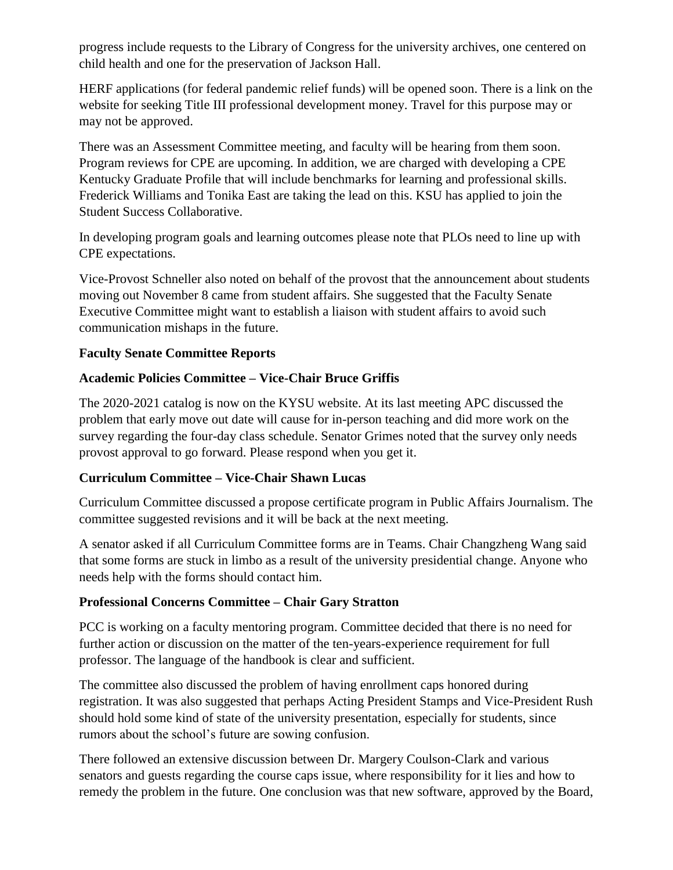progress include requests to the Library of Congress for the university archives, one centered on child health and one for the preservation of Jackson Hall.

HERF applications (for federal pandemic relief funds) will be opened soon. There is a link on the website for seeking Title III professional development money. Travel for this purpose may or may not be approved.

There was an Assessment Committee meeting, and faculty will be hearing from them soon. Program reviews for CPE are upcoming. In addition, we are charged with developing a CPE Kentucky Graduate Profile that will include benchmarks for learning and professional skills. Frederick Williams and Tonika East are taking the lead on this. KSU has applied to join the Student Success Collaborative.

In developing program goals and learning outcomes please note that PLOs need to line up with CPE expectations.

Vice-Provost Schneller also noted on behalf of the provost that the announcement about students moving out November 8 came from student affairs. She suggested that the Faculty Senate Executive Committee might want to establish a liaison with student affairs to avoid such communication mishaps in the future.

# **Faculty Senate Committee Reports**

# **Academic Policies Committee – Vice-Chair Bruce Griffis**

The 2020-2021 catalog is now on the KYSU website. At its last meeting APC discussed the problem that early move out date will cause for in-person teaching and did more work on the survey regarding the four-day class schedule. Senator Grimes noted that the survey only needs provost approval to go forward. Please respond when you get it.

## **Curriculum Committee – Vice-Chair Shawn Lucas**

Curriculum Committee discussed a propose certificate program in Public Affairs Journalism. The committee suggested revisions and it will be back at the next meeting.

A senator asked if all Curriculum Committee forms are in Teams. Chair Changzheng Wang said that some forms are stuck in limbo as a result of the university presidential change. Anyone who needs help with the forms should contact him.

# **Professional Concerns Committee – Chair Gary Stratton**

PCC is working on a faculty mentoring program. Committee decided that there is no need for further action or discussion on the matter of the ten-years-experience requirement for full professor. The language of the handbook is clear and sufficient.

The committee also discussed the problem of having enrollment caps honored during registration. It was also suggested that perhaps Acting President Stamps and Vice-President Rush should hold some kind of state of the university presentation, especially for students, since rumors about the school's future are sowing confusion.

There followed an extensive discussion between Dr. Margery Coulson-Clark and various senators and guests regarding the course caps issue, where responsibility for it lies and how to remedy the problem in the future. One conclusion was that new software, approved by the Board,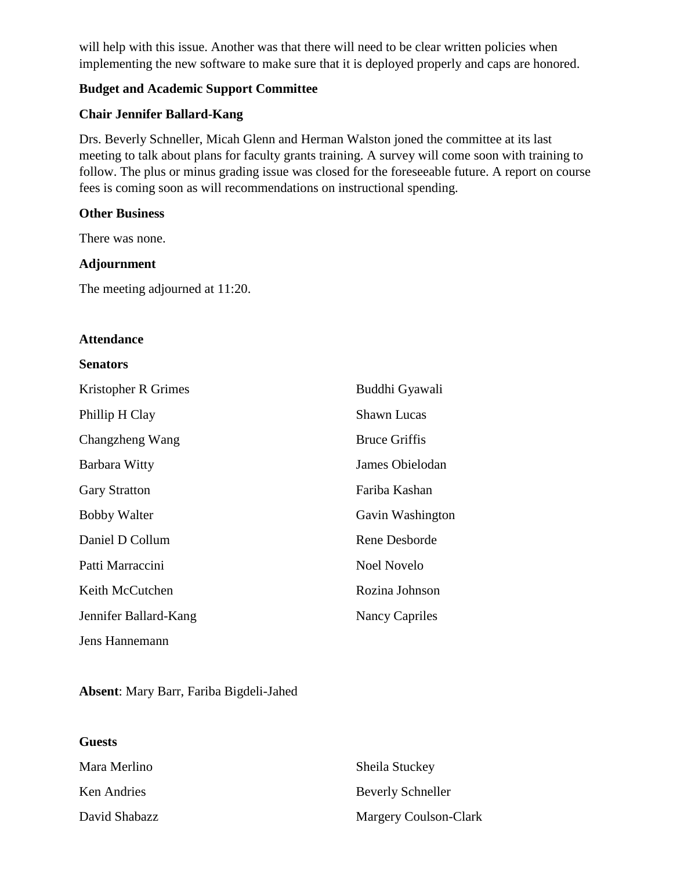will help with this issue. Another was that there will need to be clear written policies when implementing the new software to make sure that it is deployed properly and caps are honored.

## **Budget and Academic Support Committee**

## **Chair Jennifer Ballard-Kang**

Drs. Beverly Schneller, Micah Glenn and Herman Walston joned the committee at its last meeting to talk about plans for faculty grants training. A survey will come soon with training to follow. The plus or minus grading issue was closed for the foreseeable future. A report on course fees is coming soon as will recommendations on instructional spending.

## **Other Business**

There was none.

## **Adjournment**

The meeting adjourned at 11:20.

### **Attendance**

#### **Senators**

| Kristopher R Grimes   | Buddhi Gyawali       |
|-----------------------|----------------------|
| Phillip H Clay        | <b>Shawn Lucas</b>   |
| Changzheng Wang       | <b>Bruce Griffis</b> |
| Barbara Witty         | James Obielodan      |
| <b>Gary Stratton</b>  | Fariba Kashan        |
| <b>Bobby Walter</b>   | Gavin Washington     |
| Daniel D Collum       | Rene Desborde        |
| Patti Marraccini      | Noel Novelo          |
| Keith McCutchen       | Rozina Johnson       |
| Jennifer Ballard-Kang | Nancy Capriles       |
| Jens Hannemann        |                      |

### **Absent**: Mary Barr, Fariba Bigdeli-Jahed

### **Guests**

| Mara Merlino  | Sheila Stuckey           |
|---------------|--------------------------|
| Ken Andries   | <b>Beverly Schneller</b> |
| David Shabazz | Margery Coulson-Clark    |